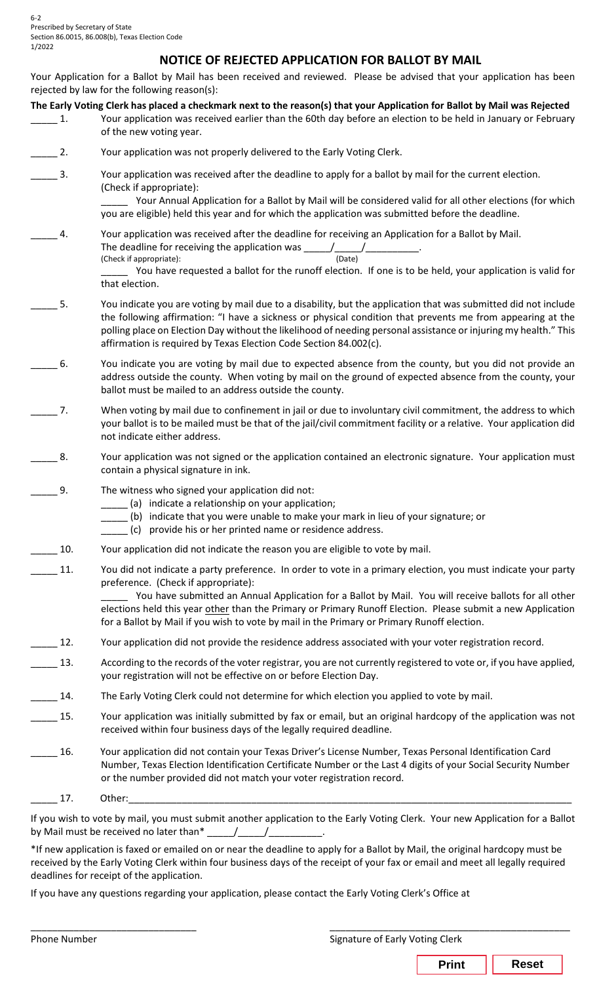## **NOTICE OF REJECTED APPLICATION FOR BALLOT BY MAIL**

Your Application for a Ballot by Mail has been received and reviewed. Please be advised that your application has been rejected by law for the following reason(s):

| The Early Voting Clerk has placed a checkmark next to the reason(s) that your Application for Ballot by Mail was Rejected |
|---------------------------------------------------------------------------------------------------------------------------|
|---------------------------------------------------------------------------------------------------------------------------|

| Your application was received earlier than the 60th day before an election to be held in January or February |
|--------------------------------------------------------------------------------------------------------------|
| of the new voting year.                                                                                      |

- **2.** Your application was not properly delivered to the Early Voting Clerk.
- \_\_\_\_\_ 3. Your application was received after the deadline to apply for a ballot by mail for the current election. (Check if appropriate):

\_\_\_\_\_ Your Annual Application for a Ballot by Mail will be considered valid for all other elections (for which you are eligible) held this year and for which the application was submitted before the deadline.

\_\_\_\_\_ 4. Your application was received after the deadline for receiving an Application for a Ballot by Mail. The deadline for receiving the application was \_\_\_\_\_/\_\_\_\_\_/\_\_\_\_\_\_\_\_\_\_. (Check if appropriate):

> You have requested a ballot for the runoff election. If one is to be held, your application is valid for that election.

- \_\_\_\_\_ 5. You indicate you are voting by mail due to a disability, but the application that was submitted did not include the following affirmation: "I have a sickness or physical condition that prevents me from appearing at the polling place on Election Day without the likelihood of needing personal assistance or injuring my health." This affirmation is required by Texas Election Code Section 84.002(c).
- \_\_\_\_\_ 6. You indicate you are voting by mail due to expected absence from the county, but you did not provide an address outside the county. When voting by mail on the ground of expected absence from the county, your ballot must be mailed to an address outside the county.
- \_\_\_\_\_ 7. When voting by mail due to confinement in jail or due to involuntary civil commitment, the address to which your ballot is to be mailed must be that of the jail/civil commitment facility or a relative. Your application did not indicate either address.
- 8. Your application was not signed or the application contained an electronic signature. Your application must contain a physical signature in ink.
- \_\_\_\_\_ 9. The witness who signed your application did not:
	- \_\_\_\_\_ (a) indicate a relationship on your application;
	- \_\_\_\_\_ (b) indicate that you were unable to make your mark in lieu of your signature; or
	- \_\_\_\_\_ (c) provide his or her printed name or residence address.
- 10. Your application did not indicate the reason you are eligible to vote by mail.
- \_\_\_\_\_ 11. You did not indicate a party preference. In order to vote in a primary election, you must indicate your party preference. (Check if appropriate):

You have submitted an Annual Application for a Ballot by Mail. You will receive ballots for all other elections held this year other than the Primary or Primary Runoff Election. Please submit a new Application for a Ballot by Mail if you wish to vote by mail in the Primary or Primary Runoff election.

- 12. Your application did not provide the residence address associated with your voter registration record.
- 13. According to the records of the voter registrar, you are not currently registered to vote or, if you have applied, your registration will not be effective on or before Election Day.
- 14. The Early Voting Clerk could not determine for which election you applied to vote by mail.
- \_\_\_\_\_ 15. Your application was initially submitted by fax or email, but an original hardcopy of the application was not received within four business days of the legally required deadline.
- \_\_\_\_\_ 16. Your application did not contain your Texas Driver's License Number, Texas Personal Identification Card Number, Texas Election Identification Certificate Number or the Last 4 digits of your Social Security Number or the number provided did not match your voter registration record.
- \_\_\_\_\_ 17. Other:\_\_\_\_\_\_\_\_\_\_\_\_\_\_\_\_\_\_\_\_\_\_\_\_\_\_\_\_\_\_\_\_\_\_\_\_\_\_\_\_\_\_\_\_\_\_\_\_\_\_\_\_\_\_\_\_\_\_\_\_\_\_\_\_\_\_\_\_\_\_\_\_\_\_\_\_\_\_\_\_\_\_\_

If you wish to vote by mail, you must submit another application to the Early Voting Clerk. Your new Application for a Ballot by Mail must be received no later than\* \_\_\_\_\_/\_\_\_\_\_/\_\_\_\_\_\_\_\_\_\_.

\*If new application is faxed or emailed on or near the deadline to apply for a Ballot by Mail, the original hardcopy must be received by the Early Voting Clerk within four business days of the receipt of your fax or email and meet all legally required deadlines for receipt of the application.

If you have any questions regarding your application, please contact the Early Voting Clerk's Office at

| Phone Number | Signature of Early Voting Clerk |              |
|--------------|---------------------------------|--------------|
|              | <b>Print</b>                    | <b>Reset</b> |